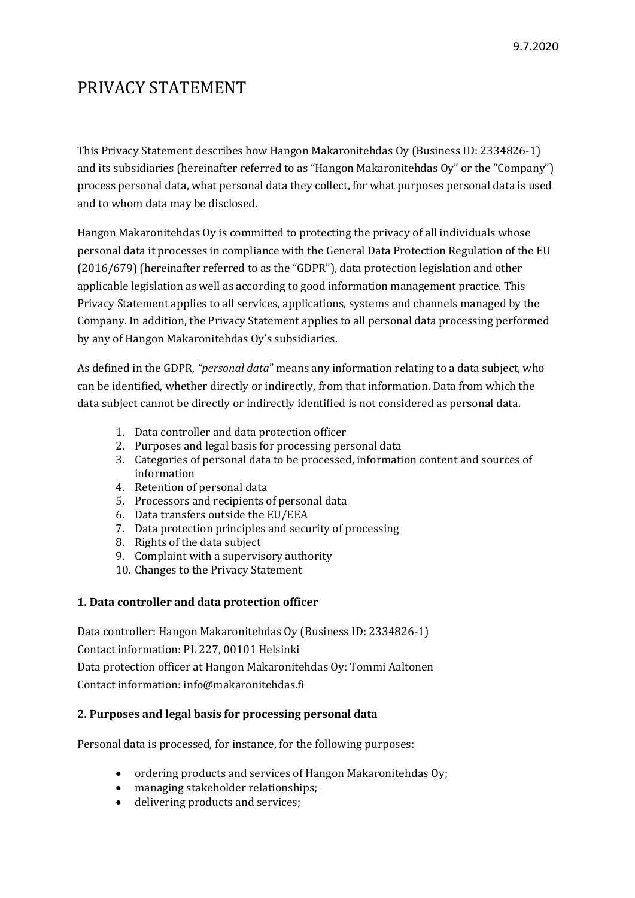# PRIVACY STATEMENT

This Privacy Statement describes how Hangon Makaronitehdas Oy (Business ID: 2334826-1) and its subsidiaries (hereinafter referred to as "Hangon Makaronitehdas  $Oy$ " or the "Company") process personal data, what personal data they collect, for what purposes personal data is used and to whom data may be disclosed.

Hangon Makaronitehdas Oy is committed to protecting the privacy of all individuals whose personal data it processes in compliance with the General Data Protection Regulation of the EU  $(2016/679)$  (hereinafter referred to as the "GDPR"), data protection legislation and other applicable legislation as well as according to good information management practice. This Privacy Statement applies to all services, applications, systems and channels managed by the Company. In addition, the Privacy Statement applies to all personal data processing performed by any of Hangon Makaronitehdas Oy's subsidiaries.

As defined in the GDPR, *"personal data"* means any information relating to a data subject, who can be identified, whether directly or indirectly, from that information. Data from which the data subject cannot be directly or indirectly identified is not considered as personal data.

- 1. Data controller and data protection officer
- 2. Purposes and legal basis for processing personal data
- 3. Categories of personal data to be processed, information content and sources of information
- 4. Retention of personal data
- 5. Processors and recipients of personal data
- 6. Data transfers outside the EU/EEA
- 7. Data protection principles and security of processing
- 8. Rights of the data subject
- 9. Complaint with a supervisory authority
- 10. Changes to the Privacy Statement

## **1. Data controller and data protection officer**

Data controller: Hangon Makaronitehdas Oy (Business ID: 2334826-1) Contact information: PL 227, 00101 Helsinki Data protection officer at Hangon Makaronitehdas Oy: Tommi Aaltonen Contact information: info@makaronitehdas.fi

## **2. Purposes and legal basis for processing personal data**

Personal data is processed, for instance, for the following purposes:

- ordering products and services of Hangon Makaronitehdas Oy;
- managing stakeholder relationships;
- delivering products and services;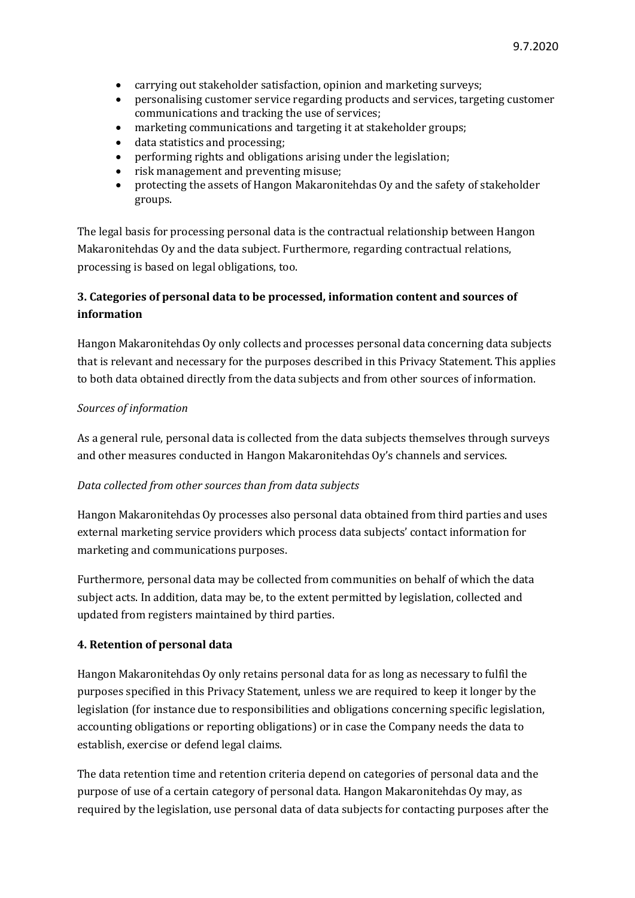- carrying out stakeholder satisfaction, opinion and marketing surveys;
- personalising customer service regarding products and services, targeting customer communications and tracking the use of services;
- marketing communications and targeting it at stakeholder groups;
- data statistics and processing;
- performing rights and obligations arising under the legislation;
- risk management and preventing misuse;
- protecting the assets of Hangon Makaronitehdas Oy and the safety of stakeholder groups.

The legal basis for processing personal data is the contractual relationship between Hangon Makaronitehdas Oy and the data subject. Furthermore, regarding contractual relations, processing is based on legal obligations, too.

## **3.** Categories of personal data to be processed, information content and sources of **information**

Hangon Makaronitehdas Oy only collects and processes personal data concerning data subjects that is relevant and necessary for the purposes described in this Privacy Statement. This applies to both data obtained directly from the data subjects and from other sources of information.

## **Sources** of information

As a general rule, personal data is collected from the data subjects themselves through surveys and other measures conducted in Hangon Makaronitehdas Oy's channels and services.

#### *Data collected from other sources than from data subjects*

Hangon Makaronitehdas Oy processes also personal data obtained from third parties and uses external marketing service providers which process data subjects' contact information for marketing and communications purposes.

Furthermore, personal data may be collected from communities on behalf of which the data subject acts. In addition, data may be, to the extent permitted by legislation, collected and updated from registers maintained by third parties.

#### **4. Retention of personal data**

Hangon Makaronitehdas Oy only retains personal data for as long as necessary to fulfil the purposes specified in this Privacy Statement, unless we are required to keep it longer by the legislation (for instance due to responsibilities and obligations concerning specific legislation, accounting obligations or reporting obligations) or in case the Company needs the data to establish, exercise or defend legal claims.

The data retention time and retention criteria depend on categories of personal data and the purpose of use of a certain category of personal data. Hangon Makaronitehdas Oy may, as required by the legislation, use personal data of data subjects for contacting purposes after the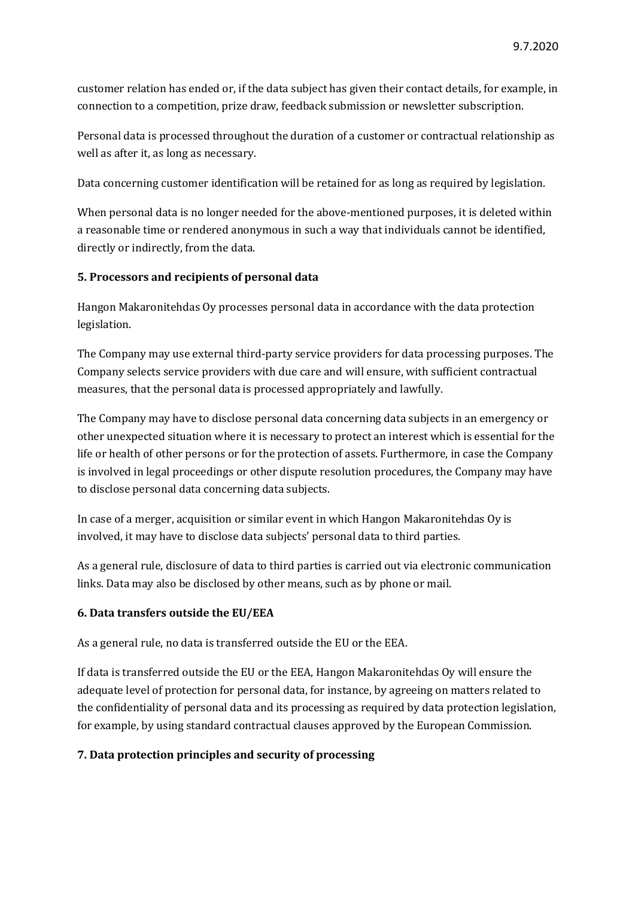customer relation has ended or, if the data subject has given their contact details, for example, in connection to a competition, prize draw, feedback submission or newsletter subscription.

Personal data is processed throughout the duration of a customer or contractual relationship as well as after it, as long as necessary.

Data concerning customer identification will be retained for as long as required by legislation.

When personal data is no longer needed for the above-mentioned purposes, it is deleted within a reasonable time or rendered anonymous in such a way that individuals cannot be identified, directly or indirectly, from the data.

#### **5. Processors and recipients of personal data**

Hangon Makaronitehdas Oy processes personal data in accordance with the data protection legislation.

The Company may use external third-party service providers for data processing purposes. The Company selects service providers with due care and will ensure, with sufficient contractual measures, that the personal data is processed appropriately and lawfully.

The Company may have to disclose personal data concerning data subjects in an emergency or other unexpected situation where it is necessary to protect an interest which is essential for the life or health of other persons or for the protection of assets. Furthermore, in case the Company is involved in legal proceedings or other dispute resolution procedures, the Company may have to disclose personal data concerning data subjects.

In case of a merger, acquisition or similar event in which Hangon Makaronitehdas Oy is involved, it may have to disclose data subjects' personal data to third parties.

As a general rule, disclosure of data to third parties is carried out via electronic communication links. Data may also be disclosed by other means, such as by phone or mail.

#### **6. Data transfers outside the EU/EEA**

As a general rule, no data is transferred outside the EU or the EEA.

If data is transferred outside the EU or the EEA, Hangon Makaronitehdas Oy will ensure the adequate level of protection for personal data, for instance, by agreeing on matters related to the confidentiality of personal data and its processing as required by data protection legislation, for example, by using standard contractual clauses approved by the European Commission.

#### **7. Data protection principles and security of processing**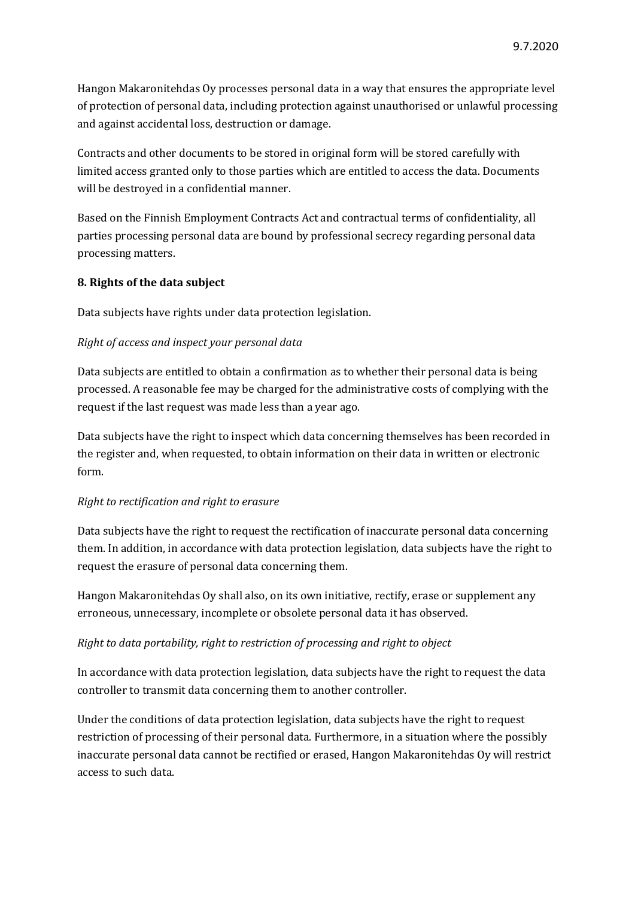Hangon Makaronitehdas Oy processes personal data in a way that ensures the appropriate level of protection of personal data, including protection against unauthorised or unlawful processing and against accidental loss, destruction or damage.

Contracts and other documents to be stored in original form will be stored carefully with limited access granted only to those parties which are entitled to access the data. Documents will be destroyed in a confidential manner.

Based on the Finnish Employment Contracts Act and contractual terms of confidentiality, all parties processing personal data are bound by professional secrecy regarding personal data processing matters.

## **8. Rights of the data subject**

Data subjects have rights under data protection legislation.

## *Right of access and inspect your personal data*

Data subjects are entitled to obtain a confirmation as to whether their personal data is being processed. A reasonable fee may be charged for the administrative costs of complying with the request if the last request was made less than a year ago.

Data subjects have the right to inspect which data concerning themselves has been recorded in the register and, when requested, to obtain information on their data in written or electronic form.

## *Right to rectification and right to erasure*

Data subjects have the right to request the rectification of inaccurate personal data concerning them. In addition, in accordance with data protection legislation, data subjects have the right to request the erasure of personal data concerning them.

Hangon Makaronitehdas Oy shall also, on its own initiative, rectify, erase or supplement any erroneous, unnecessary, incomplete or obsolete personal data it has observed.

#### *Right* to data portability, right to restriction of processing and right to object

In accordance with data protection legislation, data subjects have the right to request the data controller to transmit data concerning them to another controller.

Under the conditions of data protection legislation, data subjects have the right to request restriction of processing of their personal data. Furthermore, in a situation where the possibly inaccurate personal data cannot be rectified or erased, Hangon Makaronitehdas Oy will restrict access to such data.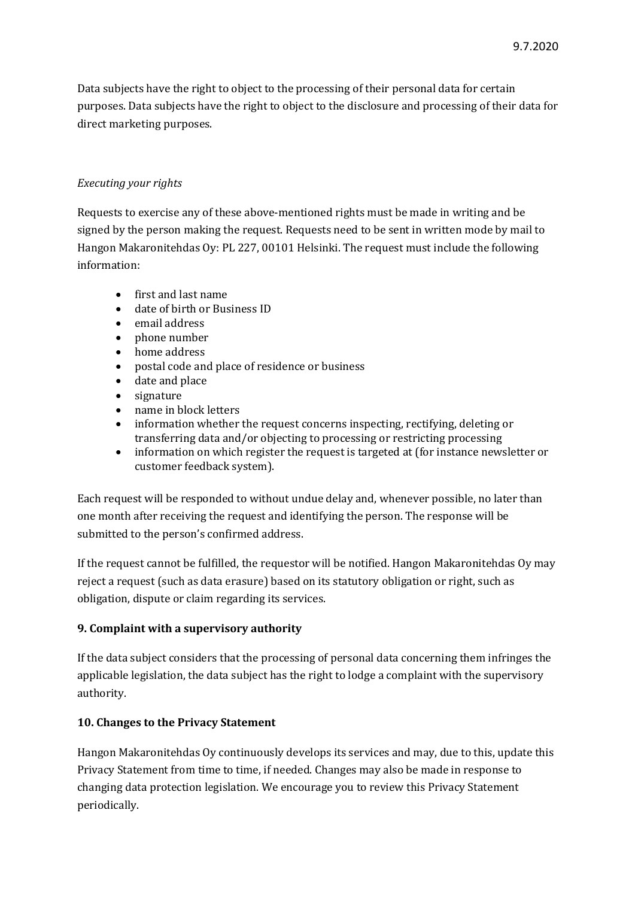Data subjects have the right to object to the processing of their personal data for certain purposes. Data subjects have the right to object to the disclosure and processing of their data for direct marketing purposes.

## *Executing your rights*

Requests to exercise any of these above-mentioned rights must be made in writing and be signed by the person making the request. Requests need to be sent in written mode by mail to Hangon Makaronitehdas Oy: PL 227, 00101 Helsinki. The request must include the following information:

- first and last name
- date of birth or Business ID
- email address
- phone number
- home address
- postal code and place of residence or business
- date and place
- signature
- name in block letters
- information whether the request concerns inspecting, rectifying, deleting or transferring data and/or objecting to processing or restricting processing
- information on which register the request is targeted at (for instance newsletter or customer feedback system).

Each request will be responded to without undue delay and, whenever possible, no later than one month after receiving the request and identifying the person. The response will be submitted to the person's confirmed address.

If the request cannot be fulfilled, the requestor will be notified. Hangon Makaronitehdas Oy may reject a request (such as data erasure) based on its statutory obligation or right, such as obligation, dispute or claim regarding its services.

#### **9. Complaint with a supervisory authority**

If the data subject considers that the processing of personal data concerning them infringes the applicable legislation, the data subject has the right to lodge a complaint with the supervisory authority. 

#### **10. Changes to the Privacy Statement**

Hangon Makaronitehdas Oy continuously develops its services and may, due to this, update this Privacy Statement from time to time, if needed. Changes may also be made in response to changing data protection legislation. We encourage you to review this Privacy Statement periodically.